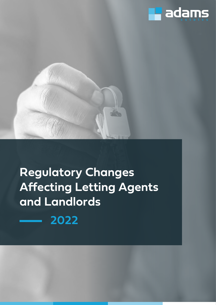



**2022**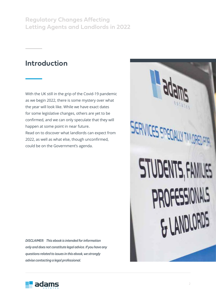### **Introduction**

With the UK still in the grip of the Covid-19 pandemic as we begin 2022, there is some mystery over what the year will look like. While we have exact dates for some legislative changes, others are yet to be confirmed, and we can only speculate that they will happen at some point in near future. Read on to discover what landlords can expect from 2022, as well as what else, though unconfirmed, could be on the Government's agenda.

*DISCLAIMER: This ebook is intended for information only and does not constitute legal advice. If you have any questions related to issues in this ebook, we strongly advise contacting a legal professional.*



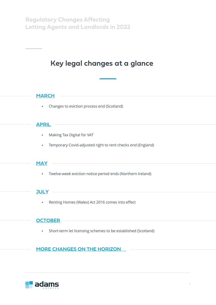

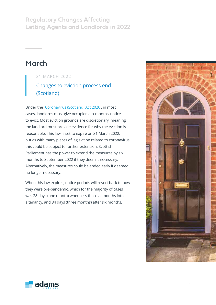## **March**

31 MARCH 2022

### Changes to eviction process end (Scotland)

Under the Coronavirus (Scotland) Act 2020 , in most cases, landlords must give occupiers six months' notice to evict. Most eviction grounds are discretionary, meaning the landlord must provide evidence for why the eviction is reasonable. This law is set to expire on 31 March 2022, but as with many pieces of legislation related to coronavirus, this could be subject to further extension. Scottish Parliament has the power to extend the measures by six months to September 2022 if they deem it necessary. Alternatively, the measures could be ended early if deemed no longer necessary.

When this law expires, notice periods will revert back to how they were pre-pandemic, which for the majority of cases was 28 days (one month) when less than six months into a tenancy, and 84 days (three months) after six months.



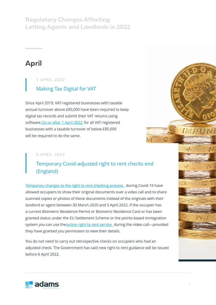### **April**

#### 1 APRIL 2022

#### Making Tax Digital for VAT

Since April 2019, VAT-registered businesses with taxable annual turnover above £85,000 have been required to keep digital tax records and submit their VAT returns using software.On or after 1 April 2022, for all VAT-registered businesses with a taxable turnover of below £85,000 will be required to do the same.



#### 5 APRIL 2022

### Temporary Covid-adjusted right to rent checks end (England)

Temporary changes to the right to rent checking process during Covid-19 have allowed occupiers to show their original documents over a video call and to share scanned copies or photos of these documents instead of the originals with their landlord or agent between 30 March 2020 and 5 April 2022. If the occupier has a current Biometric Residence Permit or Biometric Residence Card or has been granted status under the EU Settlement Scheme or the points-based immigration system you can use theonline right to rent service during the video call—provided they have granted you permission to view their details.

You do not need to carry out retrospective checks on occupiers who had an adjusted check. The Government has said new right to rent guidance will be issued before 6 April 2022.

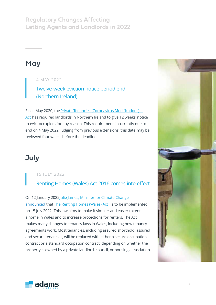### **May**

#### 4 MAY 2022

### Twelve-week eviction notice period end (Northern Ireland)

Since May 2020, the *Private Tenancies (Coronavirus Modifications)* Act has required landlords in Northern Ireland to give 12 weeks' notice to evict occupiers for any reason. This requirement is currently due to end on 4 May 2022. Judging from previous extensions, this date may be reviewed four weeks before the deadline.

### **July**

15 JULY 2022

### Renting Homes (Wales) Act 2016 comes into effect

On 12 January 2022 Julie James, Minister for Climate Change announced that The Renting Homes (Wales) Act is to be implemented on 15 July 2022. This law aims to make it simpler and easier to rent a home in Wales and to increase protections for renters. The Act makes many changes to tenancy laws in Wales, including how tenancy agreements work. Most tenancies, including assured shorthold, assured and secure tenancies, will be replaced with either a secure occupation contract or a standard occupation contract, depending on whether the property is owned by a private landlord, council, or housing as sociation.



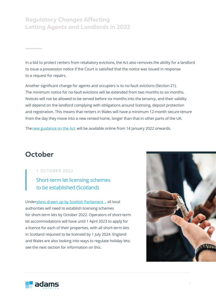In a bid to protect renters from retaliatory evictions, the Act also removes the ability for a landlord to issue a possession notice if the Court is satisfied that the notice was issued in response to a request for repairs.

Another significant change for agents and occupiers is to no-fault evictions (Section 21). The minimum notice for no-fault evictions will be extended from two months to six months. Notices will not be allowed to be served before six months into the tenancy, and their validity will depend on the landlord complying with obligations around licensing, deposit protection and registration. This means that renters in Wales will have a minimum 12-month secure tenure from the day they move into a new rented home, longer than that in other parts of the UK.

The new guidance on the Act will be available online from 14 January 2022 onwards.

### **October**

1 OCTOBER 2022

### Short-term let licensing schemes to be established (Scotland)

Underplans drawn up by Scottish Parliament , all local authorities will need to establish licensing schemes for short-term lets by October 2022. Operators of short-term let accommodations will have until 1 April 2023 to apply for a licence for each of their properties, with all short-term lets in Scotland required to be licensed by 1 July 2024. England and Wales are also looking into ways to regulate holiday lets; see the next section for information on this.



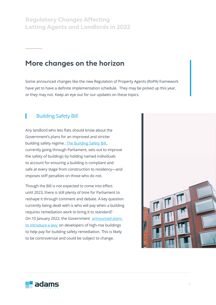### **More changes on the horizon**

Some announced changes like the new Regulation of Property Agents (RoPA) framework have yet to have a definite implementation schedule. They may be picked up this year, or they may not. Keep an eye out for our updates on these topics.

### Building Safety Bill

Any landlord who lets flats should know about the Government's plans for an improved and stricter building safety regime. The Building Safety Bill, currently going through Parliament, sets out to improve the safety of buildings by holding named individuals to account for ensuring a building is compliant and safe at every stage from construction to residency—and imposes stiff penalties on those who do not.

Though the Bill is not expected to come into effect until 2023, there is still plenty of time for Parliament to reshape it through comment and debate. A key question currently being dealt with is who will pay when a building requires remediation work to bring it to standard? On 10 January 2022, the Government announced plans to introduce a levy on developers of high-rise buildings to help pay for building safety remediation. This is likely to be controversial and could be subject to change.



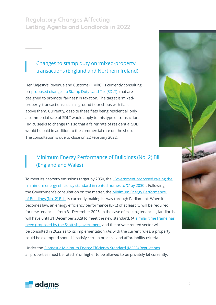### Changes to stamp duty on 'mixed-property' transactions (England and Northern Ireland)

Her Majesty's Revenue and Customs (HMRC) is currently consulting on proposed changes to Stamp Duty Land Tax (SDLT) that are designed to promote 'fairness' in taxation. The target is 'mixedproperty' transactions such as ground floor shops with flats above them. Currently, despite these flats being residential, only a commercial rate of SDLT would apply to this type of transaction. HMRC seeks to change this so that a fairer rate of residential SDLT would be paid in addition to the commercial rate on the shop. The consultation is due to close on 22 February 2022.



### Minimum Energy Performance of Buildings (No. 2) Bill (England and Wales)

To meet its net-zero emissions target by 2050, the Government proposed raising the minimum energy efficiency standard in rented homes to 'C' by 2030 . Following the Government's consultation on the matter, the Minimum Energy Performance of Buildings (No. 2) Bill is currently making its way through Parliament. When it becomes law, an energy efficiency performance (EPC) of at least 'C' will be required for new tenancies from 31 December 2025; in the case of existing tenancies, landlords will have until 31 December 2028 to meet the new standard. (A similar time frame has been proposed by the Scottish government and the private rented sector will be consulted in 2022 as to its implementation.) As with the current rules, a property could be exempted should it satisfy certain practical and affordability criteria.

Under the Domestic Minimum Energy Efficiency Standard (MEES) Regulations , all properties must be rated 'E' or higher to be allowed to be privately let currently.

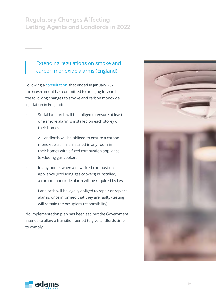### Extending regulations on smoke and carbon monoxide alarms (England)

Following a consultation that ended in January 2021, the Government has committed to bringing forward the following changes to smoke and carbon monoxide legislation in England:

- Social landlords will be obliged to ensure at least one smoke alarm is installed on each storey of their homes
- All landlords will be obliged to ensure a carbon monoxide alarm is installed in any room in their homes with a fixed combustion appliance (excluding gas cookers)
- In any home, when a new fixed combustion appliance (excluding gas cookers) is installed, a carbon monoxide alarm will be required by law
- Landlords will be legally obliged to repair or replace alarms once informed that they are faulty (testing will remain the occupier's responsibility)

No implementation plan has been set, but the Government intends to allow a transition period to give landlords time to comply.



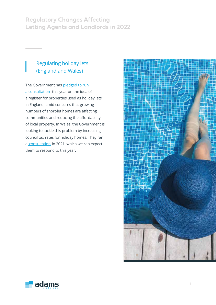### Regulating holiday lets (England and Wales)

The Government has pledged to run a consultation this year on the idea of a register for properties used as holiday lets in England, amid concerns that growing numbers of short-let homes are affecting communities and reducing the affordability of local property. In Wales, the Government is looking to tackle this problem by increasing council tax rates for holiday homes. They ran a consultation in 2021, which we can expect them to respond to this year.



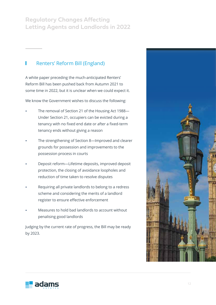#### Renters' Reform Bill (England) П

A white paper preceding the much-anticipated Renters' Reform Bill has been pushed back from Autumn 2021 to some time in 2022, but it is unclear when we could expect it.

We know the Government wishes to discuss the following:

- The removal of Section 21 of the Housing Act 1988— Under Section 21, occupiers can be evicted during a tenancy with no fixed end date or after a fixed-term tenancy ends without giving a reason
- The strengthening of Section 8-Improved and clearer grounds for possession and improvements to the possession process in courts
- Deposit reform—Lifetime deposits, improved deposit protection, the closing of avoidance loopholes and reduction of time taken to resolve disputes
- Requiring all private landlords to belong to a redress scheme and considering the merits of a landlord register to ensure effective enforcement
- Measures to hold bad landlords to account without penalising good landlords

Judging by the current rate of progress, the Bill may be ready by 2023.



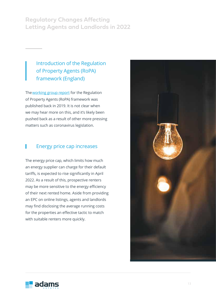### Introduction of the Regulation of Property Agents (RoPA) framework (England)

The working group report for the Regulation of Property Agents (RoPA) framework was published back in 2019. It is not clear when we may hear more on this, and it's likely been pushed back as a result of other more pressing matters such as coronavirus legislation.

#### Energy price cap increases П

The energy price cap, which limits how much an energy supplier can charge for their default tariffs, is expected to rise significantly in April 2022. As a result of this, prospective renters may be more sensitive to the energy efficiency of their next rented home. Aside from providing an EPC on online listings, agents and landlords may find disclosing the average running costs for the properties an effective tactic to match with suitable renters more quickly.